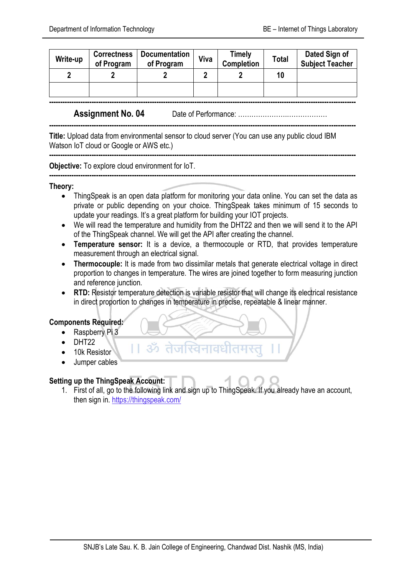| Write-up | <b>Correctness</b><br>of Program | <b>Documentation</b><br>of Program | Timely<br>Viva<br><b>Completion</b> |  | Total | Dated Sign of<br><b>Subject Teacher</b> |
|----------|----------------------------------|------------------------------------|-------------------------------------|--|-------|-----------------------------------------|
| ŋ        |                                  |                                    |                                     |  | 10    |                                         |
|          |                                  |                                    |                                     |  |       |                                         |

**-----------------------------------------------------------------------------------------------------------------------------------------**

**-----------------------------------------------------------------------------------------------------------------------------------------**

**-----------------------------------------------------------------------------------------------------------------------------------------**

**-----------------------------------------------------------------------------------------------------------------------------------------**

**Assignment No. 04** Date of Performance: ………………….………………

**Title:** Upload data from environmental sensor to cloud server (You can use any public cloud IBM Watson IoT cloud or Google or AWS etc.)

**Objective:** To explore cloud environment for IoT.

## **Theory:**

- ThingSpeak is an open data platform for monitoring your data online. You can set the data as private or public depending on your choice. ThingSpeak takes minimum of 15 seconds to update your readings. It's a great platform for building your IOT projects.
- We will read the temperature and humidity from the DHT22 and then we will send it to the API of the ThingSpeak channel. We will get the API after creating the channel.
- **Temperature sensor:** It is a device, a thermocouple or RTD, that provides temperature measurement through an electrical signal.
- **Thermocouple:** It is made from two dissimilar metals that generate electrical voltage in direct proportion to changes in temperature. The wires are joined together to form measuring junction and reference junction.
- **RTD:** Resistor temperature detection is variable resistor that will change its electrical resistance in direct proportion to changes in temperature in precise, repeatable & linear manner.

## **Components Required:**

- Raspberry Pi 3
- $\bullet$  DHT22
- 10k Resistor
- Jumper cables

## **Setting up the ThingSpeak Account:**

1. First of all, go to the following link and sign up to ThingSpeak. If you already have an account, then sign in.<https://thingspeak.com/>

ॐ तेजस्विनावधीत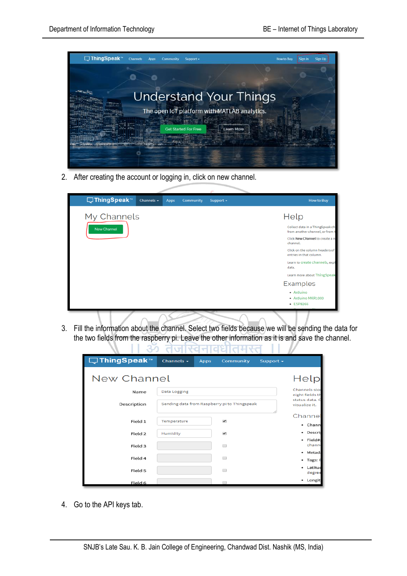

2. After creating the account or logging in, click on new channel.

TТ

| □ThingSpeak™ | Channels $\sim$ | Apps | <b>Community</b> | Support $\sim$ | <b>How to Buy</b>                                                   |
|--------------|-----------------|------|------------------|----------------|---------------------------------------------------------------------|
| My Channels  |                 |      |                  |                | Help                                                                |
| New Channel  |                 |      |                  |                | Collect data in a ThingSpeak cha<br>from another channel, or from t |
|              |                 |      |                  |                | Click New Channel to create a no<br>channel.                        |
|              |                 |      |                  |                | Click on the column headers of t<br>entries in that column.         |
|              |                 |      |                  |                | Learn to create channels, expl<br>data.                             |
|              |                 |      |                  |                | Learn more about ThingSpeak                                         |
|              |                 |      |                  |                | Examples                                                            |
|              |                 |      |                  |                | • Arduino<br>· Arduino MKR1000<br>• ESP8266                         |

3. Fill the information about the channel. Select two fields because we will be sending the data for the two fields from the raspberry pi. Leave the other information as it is and save the channel.

<del>- verson</del>

<u>hamaan</u>

T T

| □ ThingSpeak™ | Channels $\sim$                              | <b>Apps</b> | <b>Community</b>                                   | Support $\sim$ |                     |  |
|---------------|----------------------------------------------|-------------|----------------------------------------------------|----------------|---------------------|--|
| New Channel   |                                              |             |                                                    |                | Help                |  |
| Name          | Data Logging                                 |             |                                                    |                |                     |  |
| Description   | Sending data from Raspberry pi to Thingspeak |             | eight fields th<br>status data. C<br>visualize it. |                |                     |  |
|               |                                              |             |                                                    |                | Channel             |  |
| Field 1       | Temperature                                  |             | $\overline{\mathscr{L}}$                           |                | • Chann             |  |
| Field 2       | Humidity                                     |             | $\blacktriangledown$                               |                | · Descri            |  |
| Field 3       |                                              |             | ∊                                                  |                | · Field#:<br>channe |  |
| Field 4       |                                              |             |                                                    |                | · Metada            |  |
|               |                                              |             |                                                    |                | • Tags: E           |  |
| Field 5       |                                              |             |                                                    |                | · Latituc<br>degree |  |
| Field 6       |                                              |             |                                                    |                | • Longit            |  |

4. Go to the API keys tab.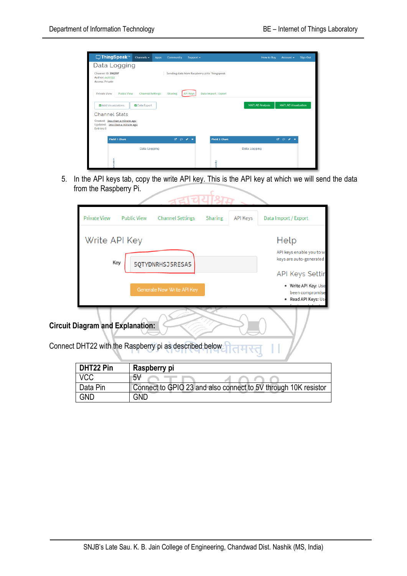| □ThingSpeak™<br>Channels -<br>Apps                                                                  | Community<br>Support $\star$                                                  | <b>Sign Out</b><br><b>How to Buy</b><br>Account - |  |  |  |  |  |  |
|-----------------------------------------------------------------------------------------------------|-------------------------------------------------------------------------------|---------------------------------------------------|--|--|--|--|--|--|
| Data Logging                                                                                        |                                                                               |                                                   |  |  |  |  |  |  |
| Channel ID: 396297<br>Author: agib122<br><b>Access: Private</b>                                     | Sending data from Raspberry pi to Thingspeak                                  |                                                   |  |  |  |  |  |  |
| Private View<br><b>Public View</b>                                                                  | <b>Channel Settings</b><br>Data Import / Export<br>Sharing<br><b>API Keys</b> |                                                   |  |  |  |  |  |  |
| <b>MATLAB Analysis</b><br><b>MATLAB Visualization</b><br><b>2</b> Data Export<br>Add Visualizations |                                                                               |                                                   |  |  |  |  |  |  |
| <b>Channel Stats</b>                                                                                |                                                                               |                                                   |  |  |  |  |  |  |
| Created: less than a minute ago<br>Updated: Jess than a minute ago<br>Entries: 0                    |                                                                               |                                                   |  |  |  |  |  |  |
| <b>Field 1 Chart</b>                                                                                | $B$ $D$ $A$ $X$<br><b>Field 2 Chart</b>                                       | $B$ $D$ $A$ $X$                                   |  |  |  |  |  |  |
| Data Logging                                                                                        |                                                                               | Data Logging                                      |  |  |  |  |  |  |
|                                                                                                     | έğ                                                                            |                                                   |  |  |  |  |  |  |

5. In the API keys tab, copy the write API key. This is the API key at which we will send the data from the Raspberry Pi.

|                                                                                                   | <b>Private View</b>     | <b>Public View</b> | <b>Channel Settings</b>           | Sharing | <b>API Keys</b> | Data Import / Export                                           |  |
|---------------------------------------------------------------------------------------------------|-------------------------|--------------------|-----------------------------------|---------|-----------------|----------------------------------------------------------------|--|
|                                                                                                   | Write API Key           | Help               |                                   |         |                 |                                                                |  |
|                                                                                                   | Key<br>5QTYDNRHSJ5RESA5 |                    |                                   |         |                 | API keys enable you to wi<br>keys are auto-generated           |  |
|                                                                                                   |                         |                    |                                   |         |                 | <b>API Keys Settir</b>                                         |  |
|                                                                                                   |                         |                    | <b>Generate New Write API Key</b> |         |                 | · Write API Key: Use<br>been compromise<br>Read API Keys: Use  |  |
| <b>Circuit Diagram and Explanation:</b><br>Connect DHT22 with the Raspberry pi as described below |                         |                    |                                   |         |                 |                                                                |  |
|                                                                                                   | DHT22 Pin               |                    | Raspberry pi                      |         |                 |                                                                |  |
|                                                                                                   | <b>VCC</b>              | 5V                 |                                   |         |                 |                                                                |  |
|                                                                                                   | Data Pin                |                    |                                   |         |                 | Connect to GPIO 23 and also connect to 5V through 10K resistor |  |
|                                                                                                   | <b>GND</b>              | <b>GND</b>         |                                   |         |                 |                                                                |  |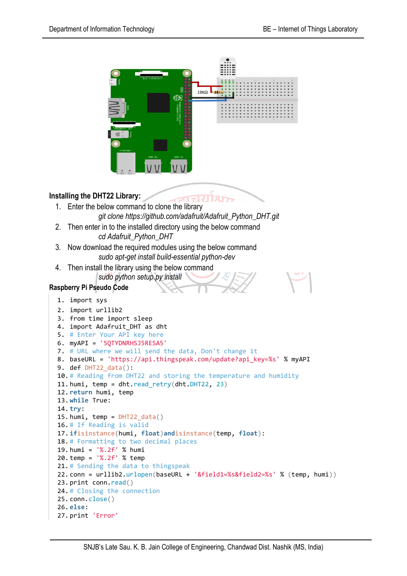